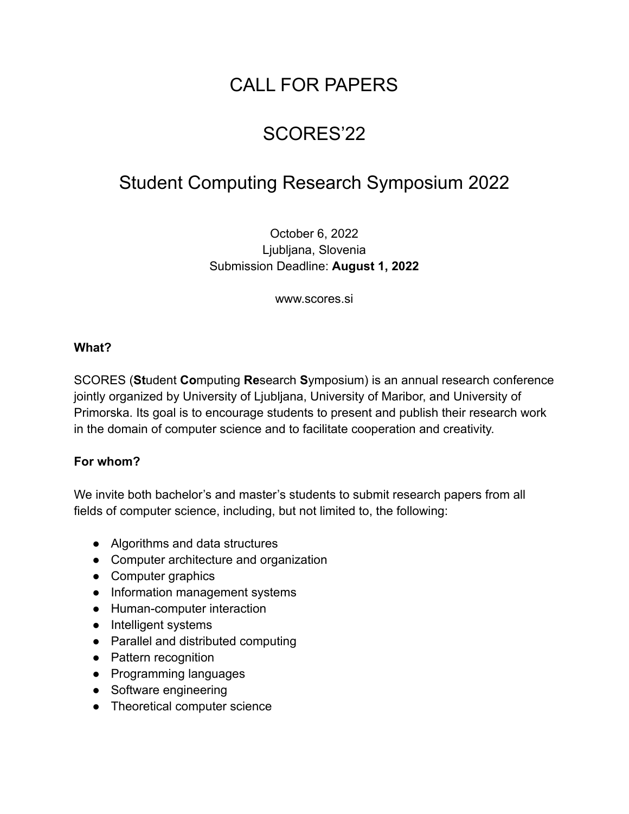# CALL FOR PAPERS

# SCORES'22

### Student Computing Research Symposium 2022

October 6, 2022 Ljubljana, Slovenia Submission Deadline: **August 1, 2022**

www.scores.si

#### **What?**

SCORES (**St**udent **Co**mputing **Re**search **S**ymposium) is an annual research conference jointly organized by University of Ljubljana, University of Maribor, and University of Primorska. Its goal is to encourage students to present and publish their research work in the domain of computer science and to facilitate cooperation and creativity.

#### **For whom?**

We invite both bachelor's and master's students to submit research papers from all fields of computer science, including, but not limited to, the following:

- Algorithms and data structures
- Computer architecture and organization
- Computer graphics
- Information management systems
- Human-computer interaction
- Intelligent systems
- Parallel and distributed computing
- Pattern recognition
- Programming languages
- Software engineering
- Theoretical computer science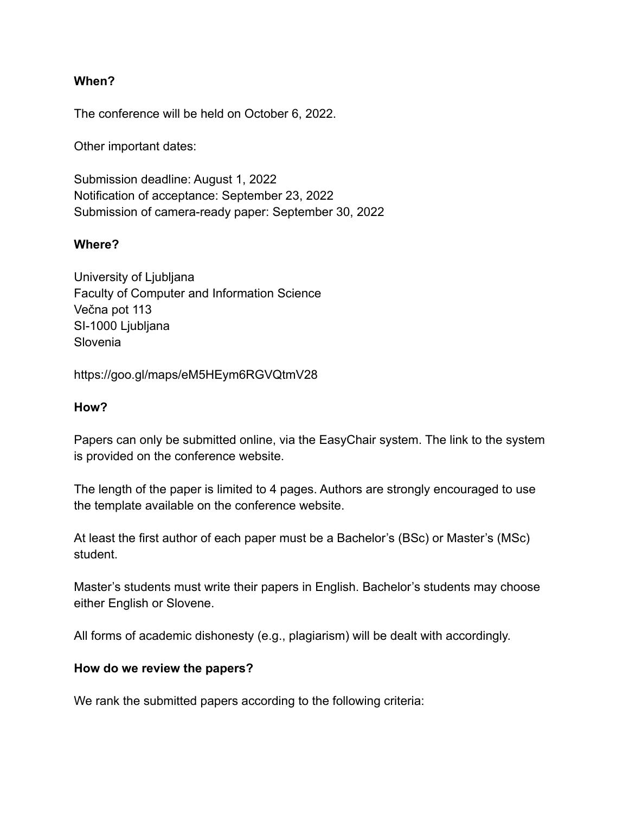#### **When?**

The conference will be held on October 6, 2022.

Other important dates:

Submission deadline: August 1, 2022 Notification of acceptance: September 23, 2022 Submission of camera-ready paper: September 30, 2022

#### **Where?**

University of Ljubljana Faculty of Computer and Information Science Večna pot 113 SI-1000 Ljubljana Slovenia

https://goo.gl/maps/eM5HEym6RGVQtmV28

#### **How?**

Papers can only be submitted online, via the EasyChair system. The link to the system is provided on the conference website.

The length of the paper is limited to 4 pages. Authors are strongly encouraged to use the template available on the conference website.

At least the first author of each paper must be a Bachelor's (BSc) or Master's (MSc) student.

Master's students must write their papers in English. Bachelor's students may choose either English or Slovene.

All forms of academic dishonesty (e.g., plagiarism) will be dealt with accordingly.

#### **How do we review the papers?**

We rank the submitted papers according to the following criteria: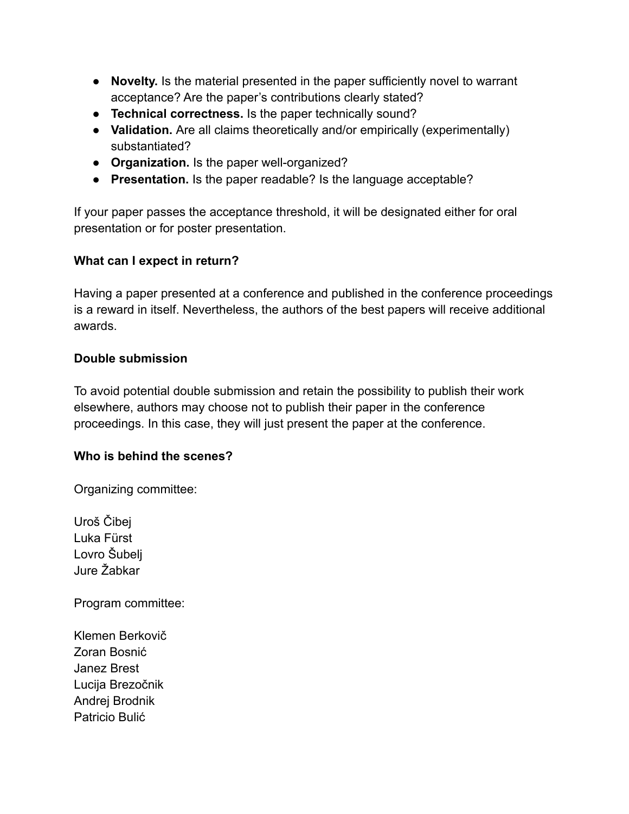- **Novelty.** Is the material presented in the paper sufficiently novel to warrant acceptance? Are the paper's contributions clearly stated?
- **Technical correctness.** Is the paper technically sound?
- **Validation.** Are all claims theoretically and/or empirically (experimentally) substantiated?
- **Organization.** Is the paper well-organized?
- **Presentation.** Is the paper readable? Is the language acceptable?

If your paper passes the acceptance threshold, it will be designated either for oral presentation or for poster presentation.

#### **What can I expect in return?**

Having a paper presented at a conference and published in the conference proceedings is a reward in itself. Nevertheless, the authors of the best papers will receive additional awards.

#### **Double submission**

To avoid potential double submission and retain the possibility to publish their work elsewhere, authors may choose not to publish their paper in the conference proceedings. In this case, they will just present the paper at the conference.

#### **Who is behind the scenes?**

Organizing committee:

Uroš Čibej Luka Fürst Lovro Šubelj Jure Žabkar

Program committee:

Klemen Berkovič Zoran Bosnić Janez Brest Lucija Brezočnik Andrej Brodnik Patricio Bulić